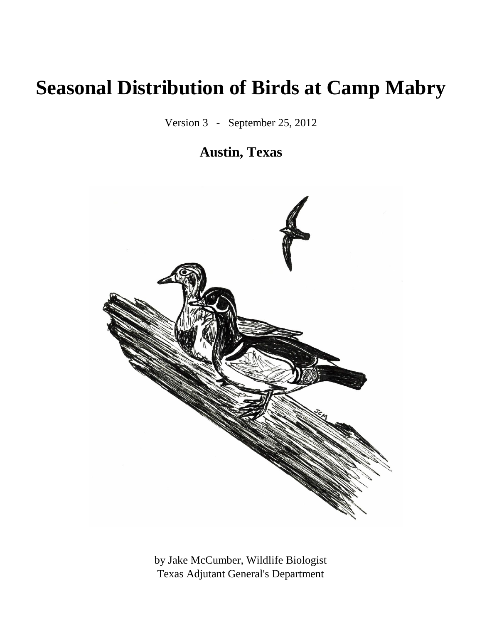# **Seasonal Distribution of Birds at Camp Mabry**

Version 3 - September 25, 2012

### **Austin, Texas**



by Jake McCumber, Wildlife Biologist Texas Adjutant General's Department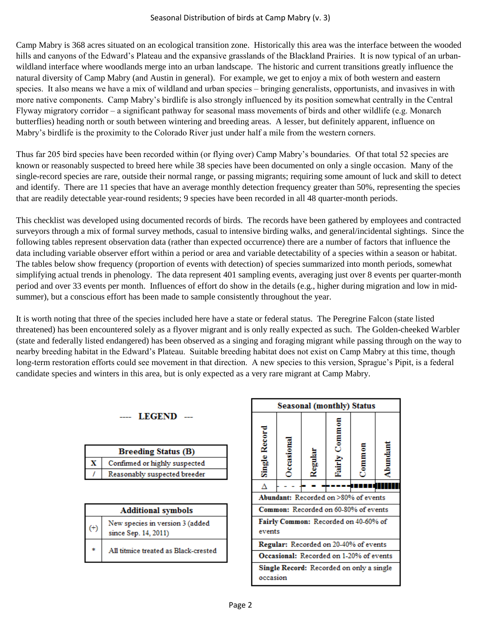Camp Mabry is 368 acres situated on an ecological transition zone. Historically this area was the interface between the wooded hills and canyons of the Edward's Plateau and the expansive grasslands of the Blackland Prairies. It is now typical of an urbanwildland interface where woodlands merge into an urban landscape. The historic and current transitions greatly influence the natural diversity of Camp Mabry (and Austin in general). For example, we get to enjoy a mix of both western and eastern species. It also means we have a mix of wildland and urban species – bringing generalists, opportunists, and invasives in with more native components. Camp Mabry's birdlife is also strongly influenced by its position somewhat centrally in the Central Flyway migratory corridor – a significant pathway for seasonal mass movements of birds and other wildlife (e.g. Monarch butterflies) heading north or south between wintering and breeding areas. A lesser, but definitely apparent, influence on Mabry's birdlife is the proximity to the Colorado River just under half a mile from the western corners.

Thus far 205 bird species have been recorded within (or flying over) Camp Mabry's boundaries. Of that total 52 species are known or reasonably suspected to breed here while 38 species have been documented on only a single occasion. Many of the single-record species are rare, outside their normal range, or passing migrants; requiring some amount of luck and skill to detect and identify. There are 11 species that have an average monthly detection frequency greater than 50%, representing the species that are readily detectable year-round residents; 9 species have been recorded in all 48 quarter-month periods.

This checklist was developed using documented records of birds. The records have been gathered by employees and contracted surveyors through a mix of formal survey methods, casual to intensive birding walks, and general/incidental sightings. Since the following tables represent observation data (rather than expected occurrence) there are a number of factors that influence the data including variable observer effort within a period or area and variable detectability of a species within a season or habitat. The tables below show frequency (proportion of events with detection) of species summarized into month periods, somewhat simplifying actual trends in phenology. The data represent 401 sampling events, averaging just over 8 events per quarter-month period and over 33 events per month. Influences of effort do show in the details (e.g., higher during migration and low in midsummer), but a conscious effort has been made to sample consistently throughout the year.

It is worth noting that three of the species included here have a state or federal status. The Peregrine Falcon (state listed threatened) has been encountered solely as a flyover migrant and is only really expected as such. The Golden-cheeked Warbler (state and federally listed endangered) has been observed as a singing and foraging migrant while passing through on the way to nearby breeding habitat in the Edward's Plateau. Suitable breeding habitat does not exist on Camp Mabry at this time, though long-term restoration efforts could see movement in that direction. A new species to this version, Sprague's Pipit, is a federal candidate species and winters in this area, but is only expected as a very rare migrant at Camp Mabry.

|          | <b>LEGEND</b>                                           |
|----------|---------------------------------------------------------|
|          | <b>Breeding Status (B)</b>                              |
| x        | Confirmed or highly suspected                           |
|          | Reasonably suspected breeder                            |
|          | <b>Additional symbols</b>                               |
| $^{(+)}$ | New species in version 3 (added<br>since Sep. 14, 2011) |
|          | All titmice treated as Black-crested                    |

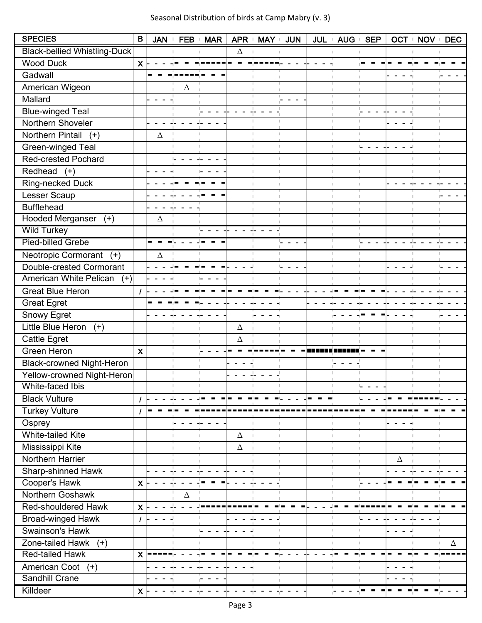Seasonal Distribution of birds at Camp Mabry (v. 3)

| <b>SPECIES</b>                      | B                         | <b>JAN</b> |          | FEB MAR | APR +    | MAY +                | <b>JUN</b> | JUL + AUG +    | <b>SEP</b> |   | OCT I NOV | <b>DEC</b><br>$\mathbb{L}$ |
|-------------------------------------|---------------------------|------------|----------|---------|----------|----------------------|------------|----------------|------------|---|-----------|----------------------------|
| <b>Black-bellied Whistling-Duck</b> |                           |            |          |         | $\Delta$ |                      |            |                |            |   |           |                            |
| <b>Wood Duck</b>                    | $x \vdash$                |            |          |         |          |                      |            |                |            |   |           |                            |
| Gadwall                             |                           |            |          |         |          |                      |            |                |            |   |           |                            |
| American Wigeon                     |                           |            | $\Delta$ |         |          |                      |            |                |            |   |           |                            |
| Mallard                             |                           |            |          |         |          |                      |            |                |            |   |           |                            |
| <b>Blue-winged Teal</b>             |                           |            |          |         |          |                      |            |                |            |   |           |                            |
| Northern Shoveler                   |                           |            |          |         |          |                      |            |                |            |   |           |                            |
| Northern Pintail<br>$(+)$           |                           | $\Delta$   |          |         |          |                      |            | T.             |            |   |           |                            |
| Green-winged Teal                   |                           |            |          |         |          |                      |            | f.             | L,         |   |           |                            |
| <b>Red-crested Pochard</b>          |                           |            |          |         |          | H.<br>$\mathbb{R}^n$ |            | H.             | T.         |   | T.        |                            |
| Redhead<br>$(+)$                    |                           |            |          |         |          |                      |            | H.             |            |   |           |                            |
| Ring-necked Duck                    |                           |            |          |         |          |                      |            | $\mathbb{R}^2$ |            |   |           |                            |
| Lesser Scaup                        |                           |            |          |         |          |                      |            |                |            |   |           |                            |
| <b>Bufflehead</b>                   |                           |            |          |         |          |                      |            |                |            |   |           |                            |
| Hooded Merganser (+)                |                           | Δ          |          |         |          |                      |            |                |            |   |           |                            |
| <b>Wild Turkey</b>                  |                           |            |          |         |          |                      |            |                |            |   |           |                            |
| <b>Pied-billed Grebe</b>            |                           |            |          |         |          |                      |            |                |            |   |           |                            |
| Neotropic Cormorant<br>$(+)$        |                           | $\Delta$   |          |         |          |                      |            |                |            |   |           |                            |
| Double-crested Cormorant            |                           |            |          |         |          |                      | Ľ,         | T.             |            |   |           | L,                         |
| American White Pelican<br>$(+)$     |                           |            |          |         |          |                      |            |                |            |   |           |                            |
| <b>Great Blue Heron</b>             |                           |            |          |         |          |                      |            |                |            |   |           |                            |
| <b>Great Egret</b>                  |                           |            |          |         |          |                      |            |                |            |   |           |                            |
| Snowy Egret                         |                           |            |          |         |          |                      |            |                |            |   |           |                            |
| Little Blue Heron<br>$(+)$          |                           |            |          |         | $\Delta$ |                      |            |                |            |   |           |                            |
| Cattle Egret                        |                           |            |          |         | Δ        |                      |            |                |            |   |           |                            |
| Green Heron                         | $\boldsymbol{\mathsf{X}}$ |            |          |         |          |                      |            |                |            |   |           |                            |
| <b>Black-crowned Night-Heron</b>    |                           |            |          |         |          |                      |            |                |            |   |           |                            |
| Yellow-crowned Night-Heron          |                           |            |          |         |          |                      |            |                |            |   |           |                            |
| White-faced Ibis                    |                           |            |          |         |          |                      |            |                |            |   |           |                            |
| <b>Black Vulture</b>                |                           |            |          |         |          |                      |            |                |            |   |           |                            |
| <b>Turkey Vulture</b>               |                           |            |          |         |          |                      |            |                |            |   |           |                            |
| Osprey                              |                           |            |          |         |          |                      |            |                |            |   |           |                            |
| <b>White-tailed Kite</b>            |                           |            |          |         | Δ        |                      |            |                |            |   |           |                            |
| Mississippi Kite                    |                           |            |          |         | $\Delta$ |                      |            |                |            |   |           |                            |
| Northern Harrier                    |                           |            |          |         |          |                      |            |                |            | Δ |           |                            |
| Sharp-shinned Hawk                  |                           |            |          |         |          |                      |            |                |            |   |           |                            |
| Cooper's Hawk                       | $\mathsf{x}$              |            |          |         |          |                      |            |                |            |   |           |                            |
| Northern Goshawk                    |                           |            | $\Delta$ |         |          |                      |            |                |            |   |           |                            |
| Red-shouldered Hawk                 | $\boldsymbol{\mathsf{X}}$ |            |          |         |          |                      |            |                |            |   |           |                            |
| <b>Broad-winged Hawk</b>            | $\prime$  -               |            |          |         |          |                      |            |                |            |   |           |                            |
| Swainson's Hawk                     |                           |            |          | L,      |          |                      |            | $\mathbb{R}^n$ | H.         |   |           |                            |
| Zone-tailed Hawk<br>$(+)$           |                           |            |          |         |          |                      |            | f,             |            |   |           | $\Delta$                   |
| Red-tailed Hawk                     | $x =$                     |            |          |         |          |                      |            |                |            |   |           |                            |
| American Coot<br>$(+)$              |                           |            |          |         |          |                      |            | T.             | H.         |   |           |                            |
| <b>Sandhill Crane</b>               |                           |            |          |         |          |                      |            |                |            |   |           |                            |
| Killdeer                            | $\mathsf{X}$              |            |          |         |          |                      |            |                |            |   |           |                            |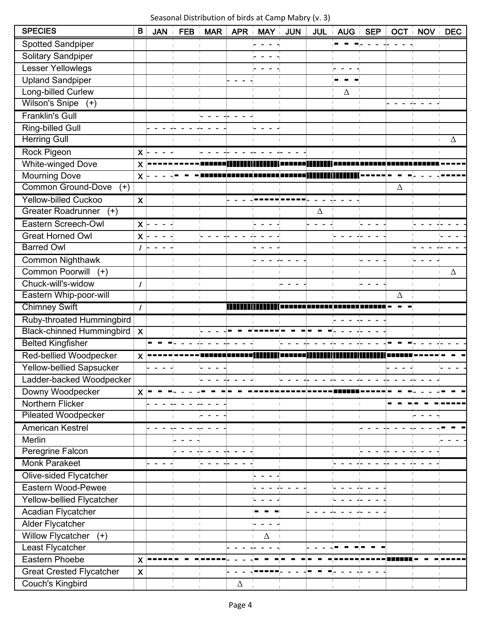Seasonal Distribution of birds at Camp Mabry (v. 3)

| <b>SPECIES</b>                     | B                         | <b>JAN</b>       | <b>FEB</b>     | <b>MAR</b> | APR i    | MAY i | <b>JUN</b> | JUL <sub>i</sub> | AUG <sub>i</sub> | <b>SEP</b>   |    | <b>OCT</b> NOV | <b>DEC</b> |
|------------------------------------|---------------------------|------------------|----------------|------------|----------|-------|------------|------------------|------------------|--------------|----|----------------|------------|
| Spotted Sandpiper                  |                           |                  |                |            |          |       |            |                  |                  |              |    |                |            |
| Solitary Sandpiper                 |                           |                  |                |            |          |       |            |                  |                  |              |    |                |            |
| <b>Lesser Yellowlegs</b>           |                           |                  |                |            |          |       |            |                  |                  |              |    |                |            |
| <b>Upland Sandpiper</b>            |                           |                  |                |            |          |       |            |                  |                  |              |    |                |            |
| Long-billed Curlew                 |                           |                  |                |            |          |       |            |                  | Δ                |              |    |                |            |
| Wilson's Snipe (+)                 |                           |                  |                |            |          |       |            |                  | H.               | ш            |    |                |            |
| <b>Franklin's Gull</b>             |                           |                  |                |            |          |       |            |                  |                  |              |    |                |            |
| Ring-billed Gull                   |                           |                  |                |            |          |       |            |                  | J.               |              |    |                |            |
| <b>Herring Gull</b>                |                           |                  |                | T.         |          |       |            |                  | T.               | $\mathbb{I}$ | f. | H.             | Δ          |
| Rock Pigeon                        | X                         |                  |                |            |          |       |            |                  |                  |              |    |                |            |
| <b>White-winged Dove</b>           | $\boldsymbol{\mathsf{X}}$ |                  |                |            |          |       |            |                  |                  |              |    |                |            |
| Mourning Dove                      | $\mathsf{X}$              |                  |                |            |          |       |            |                  |                  |              |    |                |            |
| <b>Common Ground-Dove</b><br>$(+)$ |                           |                  |                |            |          |       |            |                  |                  |              | Δ  |                |            |
| <b>Yellow-billed Cuckoo</b>        | $\boldsymbol{\mathsf{X}}$ |                  |                |            |          |       |            |                  |                  |              |    |                |            |
| Greater Roadrunner<br>$(+)$        |                           |                  |                |            |          |       |            | Δ                |                  |              |    |                |            |
| Eastern Screech-Owl                | $\mathsf{X}$              | $\sim$<br>$\sim$ |                |            |          |       |            | $\sim$ $ \sim$   |                  |              |    |                |            |
| <b>Great Horned Owl</b>            | $\boldsymbol{\mathsf{X}}$ |                  |                |            |          |       |            |                  |                  |              |    |                |            |
| <b>Barred Owl</b>                  |                           |                  |                |            |          |       |            |                  |                  |              |    |                |            |
| <b>Common Nighthawk</b>            |                           |                  |                |            |          |       |            |                  |                  |              |    |                |            |
| <b>Common Poorwill</b><br>$(+)$    |                           |                  |                | J.         |          |       |            |                  | T.               | $\mathbb{R}$ |    |                | $\Delta$   |
| Chuck-will's-widow                 | $\prime$                  |                  |                |            |          |       |            |                  |                  |              |    |                |            |
| Eastern Whip-poor-will             |                           |                  |                |            |          |       |            |                  |                  |              | Δ  |                |            |
| <b>Chimney Swift</b>               | $\prime$                  |                  |                |            |          |       |            |                  |                  |              |    |                |            |
| Ruby-throated Hummingbird          |                           |                  |                |            |          |       |            |                  |                  |              |    |                |            |
| Black-chinned Hummingbird   X      |                           |                  |                |            |          |       |            |                  |                  |              |    |                |            |
| <b>Belted Kingfisher</b>           |                           |                  |                |            |          |       |            |                  |                  |              |    |                |            |
| <b>Red-bellied Woodpecker</b>      | X                         |                  |                |            |          |       |            |                  |                  |              |    |                |            |
| Yellow-bellied Sapsucker           |                           |                  |                |            |          |       |            |                  |                  |              |    |                |            |
| Ladder-backed Woodpecker           |                           |                  |                |            |          |       |            |                  |                  |              |    |                |            |
| Downy Woodpecker                   | $\mathsf{X}$              |                  |                |            |          |       |            |                  |                  |              |    |                |            |
| Northern Flicker                   |                           |                  |                |            |          |       |            |                  |                  |              |    |                |            |
| <b>Pileated Woodpecker</b>         |                           |                  |                |            |          |       |            |                  |                  |              |    |                |            |
| <b>American Kestrel</b>            |                           |                  |                |            |          |       |            |                  |                  |              |    |                |            |
| Merlin                             |                           |                  |                |            |          |       |            |                  |                  |              |    |                |            |
| Peregrine Falcon                   |                           |                  |                |            |          |       |            |                  |                  |              |    |                |            |
| <b>Monk Parakeet</b>               |                           |                  |                |            |          |       |            |                  |                  |              |    |                |            |
| Olive-sided Flycatcher             |                           |                  |                |            |          |       |            |                  |                  |              |    |                |            |
| Eastern Wood-Pewee                 |                           |                  |                |            |          |       |            |                  |                  |              |    |                |            |
| Yellow-bellied Flycatcher          |                           |                  |                | T.         |          |       |            |                  |                  |              |    | H.             |            |
| Acadian Flycatcher                 |                           |                  |                | т          |          |       |            |                  |                  |              |    | T.             |            |
| Alder Flycatcher                   |                           |                  | H.             | J.         |          |       |            |                  |                  |              | T. | H.             |            |
| <b>Willow Flycatcher</b><br>$(+)$  |                           |                  | $\mathbb{R}^n$ |            |          | Δ     |            |                  |                  |              |    | H.             |            |
| Least Flycatcher                   |                           |                  |                |            |          |       |            |                  |                  |              |    |                |            |
| Eastern Phoebe                     | X                         |                  |                |            |          |       |            |                  |                  |              |    |                |            |
| <b>Great Crested Flycatcher</b>    | $\pmb{\times}$            |                  |                |            |          |       |            |                  |                  |              |    |                |            |
| Couch's Kingbird                   |                           |                  |                |            | $\Delta$ |       |            |                  |                  |              |    |                |            |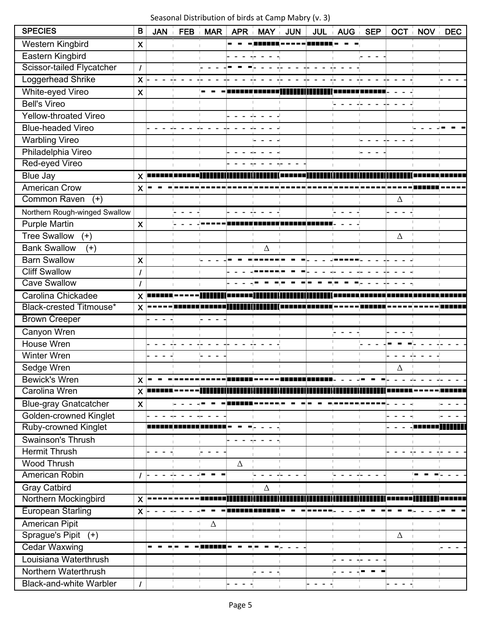#### Seasonal Distribution of birds at Camp Mabry (v. 3)

| <b>SPECIES</b>                 | B                         | <b>JAN</b> | <b>FEB</b> | <b>MAR</b>     | <b>APR</b> | MAY i    | <b>JUN</b> | JUL i AUG i  | <b>SEP</b> | OCT      | $\vdash$ NOV | <b>DEC</b> |
|--------------------------------|---------------------------|------------|------------|----------------|------------|----------|------------|--------------|------------|----------|--------------|------------|
| Western Kingbird               | $\boldsymbol{\mathsf{X}}$ |            |            |                |            |          |            |              |            |          |              |            |
| Eastern Kingbird               |                           |            |            |                |            |          |            |              |            |          |              |            |
| Scissor-tailed Flycatcher      | $\prime$                  |            |            |                |            |          |            |              |            |          |              |            |
| Loggerhead Shrike              | $\pmb{\times}$            |            |            |                |            |          |            |              |            |          |              |            |
| White-eyed Vireo               | $\boldsymbol{\mathsf{X}}$ |            |            |                |            |          |            |              |            |          |              |            |
| <b>Bell's Vireo</b>            |                           |            |            |                |            |          |            |              |            |          |              |            |
| Yellow-throated Vireo          |                           |            |            |                |            |          |            |              |            |          |              |            |
| <b>Blue-headed Vireo</b>       |                           |            |            |                |            |          |            |              |            |          |              |            |
| <b>Warbling Vireo</b>          |                           |            |            |                |            |          |            | n.           |            |          |              |            |
| Philadelphia Vireo             |                           |            |            |                |            |          |            |              |            |          |              |            |
| Red-eyed Vireo                 |                           |            |            |                |            |          |            |              |            |          |              |            |
| <b>Blue Jay</b>                | $\mathsf{X}$ $\mathsf{I}$ |            |            |                |            |          |            |              |            |          |              |            |
| <b>American Crow</b>           | $\boldsymbol{\mathsf{X}}$ |            |            |                |            |          |            |              |            |          |              |            |
| <b>Common Raven</b><br>$(+)$   |                           |            |            |                |            |          |            |              |            | Δ        |              |            |
| Northern Rough-winged Swallow  |                           |            |            |                |            |          |            |              |            |          |              |            |
| <b>Purple Martin</b>           | $\boldsymbol{\mathsf{X}}$ |            |            |                |            |          |            |              |            |          |              |            |
| <b>Tree Swallow</b><br>$(+)$   |                           |            |            |                |            |          |            |              |            | Δ        |              |            |
| <b>Bank Swallow</b><br>$(+)$   |                           |            |            |                |            | $\Delta$ |            |              |            |          |              |            |
| <b>Barn Swallow</b>            | $\boldsymbol{\mathsf{X}}$ |            |            | L.             |            |          |            |              |            |          |              |            |
| <b>Cliff Swallow</b>           | $\prime$                  |            | T.         | $\mathbb{R}^n$ |            |          |            |              |            |          |              |            |
| <b>Cave Swallow</b>            | $\prime$                  |            |            |                |            |          |            |              |            |          |              |            |
| Carolina Chickadee             | X                         |            |            |                |            |          |            |              |            |          |              |            |
| Black-crested Titmouse*        | X                         |            |            |                |            |          |            |              |            |          |              |            |
| <b>Brown Creeper</b>           |                           |            |            |                |            |          |            |              |            |          |              |            |
| Canyon Wren                    |                           |            |            |                |            |          |            |              |            |          |              |            |
| House Wren                     |                           |            |            |                |            |          |            |              |            |          |              |            |
| Winter Wren                    |                           |            |            |                |            |          |            |              |            |          |              |            |
| Sedge Wren                     |                           |            |            |                |            |          |            |              |            | Δ        |              |            |
| <b>Bewick's Wren</b>           | $\pmb{\chi}$              |            |            |                |            |          |            |              |            |          |              |            |
| Carolina Wren                  | $\mathsf{X}$              |            |            |                |            |          |            |              |            |          |              |            |
| <b>Blue-gray Gnatcatcher</b>   | $\boldsymbol{\mathsf{X}}$ |            |            |                |            |          |            |              |            |          |              |            |
| Golden-crowned Kinglet         |                           |            |            |                |            |          |            |              |            |          |              |            |
| Ruby-crowned Kinglet           |                           |            |            |                |            |          |            |              |            |          |              |            |
| Swainson's Thrush              |                           |            |            |                |            |          |            |              |            |          |              |            |
| <b>Hermit Thrush</b>           |                           |            |            |                |            |          |            |              |            |          |              |            |
| <b>Wood Thrush</b>             |                           |            |            |                | $\Delta$   |          |            |              |            |          |              |            |
| American Robin                 |                           |            |            |                |            |          |            |              |            |          |              |            |
| <b>Gray Catbird</b>            |                           |            |            |                |            | Δ        |            |              |            |          |              |            |
| Northern Mockingbird           | $\boldsymbol{\mathsf{X}}$ |            |            |                |            |          |            |              |            |          |              |            |
| <b>European Starling</b>       | $\mathsf{X}$              |            |            |                |            |          |            |              |            |          |              |            |
| <b>American Pipit</b>          |                           |            |            | $\Delta$       |            |          |            | $\mathbb{I}$ |            |          |              |            |
| Sprague's Pipit<br>$(+)$       |                           |            |            |                |            |          |            |              |            | $\Delta$ |              |            |
| <b>Cedar Waxwing</b>           |                           |            |            |                |            |          |            | H.           |            |          |              |            |
| Louisiana Waterthrush          |                           |            |            |                |            |          |            |              |            |          |              |            |
| Northern Waterthrush           |                           |            |            |                |            |          |            |              |            |          |              |            |
| <b>Black-and-white Warbler</b> | $\prime$                  |            |            |                |            |          |            |              |            |          |              |            |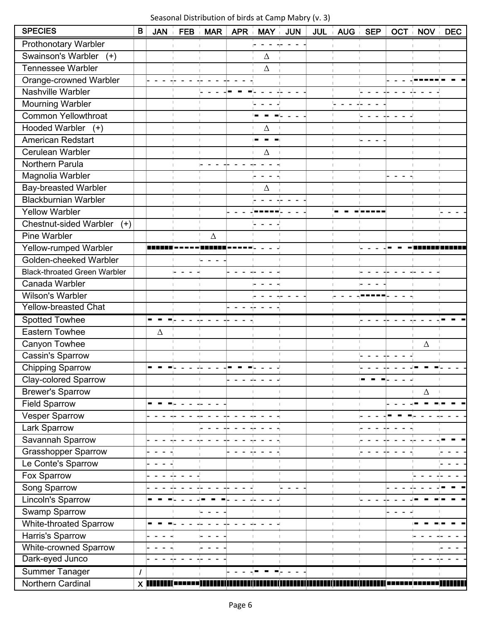#### Seasonal Distribution of birds at Camp Mabry (v. 3)

| <b>SPECIES</b>                         | B             | <b>JAN</b> |              | FEB MAR        | APR i | MAY i               | <b>JUN</b> | JUL AUG SEP  |              |        | OCT NOV DEC                    |  |
|----------------------------------------|---------------|------------|--------------|----------------|-------|---------------------|------------|--------------|--------------|--------|--------------------------------|--|
| <b>Prothonotary Warbler</b>            |               |            |              |                |       |                     |            |              |              |        |                                |  |
| Swainson's Warbler<br>$(+)$            |               |            |              |                |       | $\Delta$            |            |              |              |        |                                |  |
| <b>Tennessee Warbler</b>               |               |            |              |                |       | $\Delta$            |            |              |              |        |                                |  |
| Orange-crowned Warbler                 |               |            |              |                |       |                     |            | f.           |              |        |                                |  |
| Nashville Warbler                      |               |            |              |                |       |                     |            | I.           |              |        |                                |  |
| Mourning Warbler                       |               |            |              |                |       |                     |            | Ų            |              |        |                                |  |
| <b>Common Yellowthroat</b>             |               |            |              |                |       |                     |            |              |              |        |                                |  |
| Hooded Warbler (+)                     |               |            |              | T.             |       | Δ                   |            | H.           |              |        |                                |  |
| <b>American Redstart</b>               |               |            | $\mathbb{L}$ | $\mathbb{R}^n$ |       |                     |            | T.           | $\mathbb{L}$ |        | $\mathbb{L}$<br>$\mathbb{R}^n$ |  |
| Cerulean Warbler                       |               |            | T.           |                |       | Δ                   |            | I.           |              |        |                                |  |
| Northern Parula                        |               |            |              |                |       |                     |            |              |              |        |                                |  |
| Magnolia Warbler                       |               |            |              |                |       |                     |            | f.           |              | $\sim$ |                                |  |
| <b>Bay-breasted Warbler</b>            |               |            |              |                |       | Δ                   |            |              |              |        |                                |  |
| <b>Blackburnian Warbler</b>            |               |            |              |                |       |                     |            |              |              |        |                                |  |
| Yellow Warbler                         |               |            |              |                |       |                     |            |              |              |        |                                |  |
| <b>Chestnut-sided Warbler</b><br>$(+)$ |               |            |              |                |       | $\omega_{\rm{max}}$ |            |              |              |        |                                |  |
| <b>Pine Warbler</b>                    |               |            |              | $\Delta$       |       |                     |            | $\mathbb{L}$ | T.           |        |                                |  |
| Yellow-rumped Warbler                  |               |            |              |                |       |                     |            | T.           | L,           |        |                                |  |
| Golden-cheeked Warbler                 |               |            |              |                |       |                     |            | $\mathbb{L}$ | H.           |        |                                |  |
| <b>Black-throated Green Warbler</b>    |               |            |              |                |       |                     |            | $\mathbb{L}$ |              |        |                                |  |
| Canada Warbler                         |               |            |              |                |       |                     |            |              |              |        |                                |  |
| Wilson's Warbler                       |               |            |              |                |       |                     |            |              |              |        |                                |  |
| <b>Yellow-breasted Chat</b>            |               |            |              |                |       |                     |            |              |              |        |                                |  |
| <b>Spotted Towhee</b>                  |               |            |              |                |       |                     |            |              |              |        |                                |  |
| <b>Eastern Towhee</b>                  |               | Δ          |              |                |       |                     |            |              |              |        |                                |  |
| Canyon Towhee                          |               |            |              |                |       |                     |            | H.           |              |        | Δ                              |  |
| Cassin's Sparrow                       |               |            |              |                |       |                     |            | U.           | L,           |        |                                |  |
| <b>Chipping Sparrow</b>                |               |            |              |                |       |                     |            | T.           |              |        |                                |  |
| <b>Clay-colored Sparrow</b>            |               |            |              |                |       |                     |            |              |              |        |                                |  |
| <b>Brewer's Sparrow</b>                |               |            |              |                |       |                     |            | f.           |              |        | $\Delta$                       |  |
| <b>Field Sparrow</b>                   |               |            |              |                |       |                     |            | I.           |              |        |                                |  |
| Vesper Sparrow                         |               |            |              |                |       |                     |            | т            |              |        |                                |  |
| Lark Sparrow                           |               |            |              |                |       |                     |            |              |              |        |                                |  |
| Savannah Sparrow                       |               |            |              |                |       |                     |            |              |              |        |                                |  |
| <b>Grasshopper Sparrow</b>             |               |            |              |                |       |                     |            |              |              |        |                                |  |
| Le Conte's Sparrow                     |               |            |              |                |       |                     |            |              |              |        |                                |  |
| Fox Sparrow                            |               |            |              |                |       |                     |            | П            |              |        |                                |  |
| Song Sparrow                           |               |            |              |                |       |                     |            | f,           |              |        |                                |  |
| Lincoln's Sparrow                      |               |            |              |                |       |                     |            | t.           |              |        |                                |  |
| Swamp Sparrow                          |               |            |              | L.<br>$\sim$   |       |                     |            | T.           | H.           | $\sim$ |                                |  |
| White-throated Sparrow                 |               |            |              |                |       |                     |            | I.           | T.           |        |                                |  |
| Harris's Sparrow                       |               |            |              |                |       |                     |            | I.           |              |        |                                |  |
| White-crowned Sparrow                  |               |            |              |                |       |                     |            |              |              |        |                                |  |
| Dark-eyed Junco                        |               |            |              |                |       |                     |            |              |              |        |                                |  |
| Summer Tanager                         | $\prime$      |            |              |                |       |                     |            |              |              |        |                                |  |
| Northern Cardinal                      | $X \parallel$ |            |              |                |       |                     |            |              |              |        |                                |  |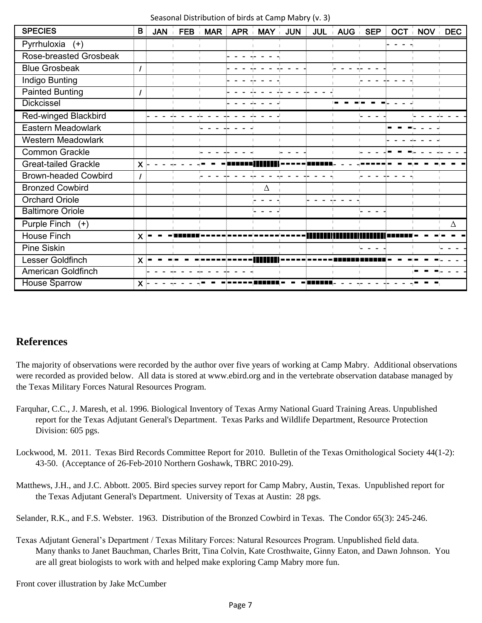|  | Seasonal Distribution of birds at Camp Mabry (v. 3) |  |  |  |  |  |  |
|--|-----------------------------------------------------|--|--|--|--|--|--|
|--|-----------------------------------------------------|--|--|--|--|--|--|

| <b>SPECIES</b>               | B                    | <b>JAN</b> | <b>FEB</b> | <b>MAR</b> | APR MAY | <b>JUN</b> | <b>JUL</b> | <b>AUG</b> | <b>SEP</b><br>$\mathbb{R}^2$ | <b>OCT NOV DEC</b> |   |
|------------------------------|----------------------|------------|------------|------------|---------|------------|------------|------------|------------------------------|--------------------|---|
| Pyrrhuloxia<br>$(+)$         |                      |            |            |            |         |            |            |            |                              |                    |   |
| Rose-breasted Grosbeak       |                      |            |            |            |         |            |            |            |                              |                    |   |
| <b>Blue Grosbeak</b>         |                      |            |            |            |         |            |            |            |                              |                    |   |
| Indigo Bunting               |                      |            |            |            |         |            |            |            |                              |                    |   |
| <b>Painted Bunting</b>       |                      |            |            |            |         |            |            |            |                              |                    |   |
| <b>Dickcissel</b>            |                      |            |            |            |         |            |            |            |                              |                    |   |
| <b>Red-winged Blackbird</b>  |                      |            |            |            |         |            |            |            |                              |                    |   |
| Eastern Meadowlark           |                      |            |            |            |         |            |            |            |                              |                    |   |
| <b>Western Meadowlark</b>    |                      |            |            |            |         |            |            |            |                              |                    |   |
| <b>Common Grackle</b>        |                      |            |            |            |         |            |            |            |                              |                    |   |
| <b>Great-tailed Grackle</b>  | $\mathsf{X}$         |            |            |            |         |            |            |            |                              |                    |   |
| <b>Brown-headed Cowbird</b>  |                      |            |            |            |         |            |            |            |                              |                    |   |
| <b>Bronzed Cowbird</b>       |                      |            |            |            | Δ       |            |            |            |                              |                    |   |
| <b>Orchard Oriole</b>        |                      |            |            |            |         |            |            |            |                              |                    |   |
| <b>Baltimore Oriole</b>      |                      |            |            |            |         |            |            |            |                              |                    |   |
| <b>Purple Finch</b><br>$(+)$ |                      |            |            |            |         |            |            |            |                              |                    | Δ |
| House Finch                  | $\mathsf{X}$         |            |            |            |         |            |            |            |                              |                    |   |
| Pine Siskin                  |                      |            |            |            |         |            |            |            |                              |                    |   |
| Lesser Goldfinch             | X                    |            |            |            |         |            |            |            |                              |                    |   |
| <b>American Goldfinch</b>    |                      |            |            |            |         |            |            |            |                              |                    |   |
| <b>House Sparrow</b>         | $\mathsf{X} \models$ |            |            |            |         |            |            |            |                              |                    |   |

#### **References**

The majority of observations were recorded by the author over five years of working at Camp Mabry. Additional observations were recorded as provided below. All data is stored at www.ebird.org and in the vertebrate observation database managed by the Texas Military Forces Natural Resources Program.

- Farquhar, C.C., J. Maresh, et al. 1996. Biological Inventory of Texas Army National Guard Training Areas. Unpublished report for the Texas Adjutant General's Department. Texas Parks and Wildlife Department, Resource Protection Division: 605 pgs.
- Lockwood, M. 2011. Texas Bird Records Committee Report for 2010. Bulletin of the Texas Ornithological Society 44(1-2): 43-50. (Acceptance of 26-Feb-2010 Northern Goshawk, TBRC 2010-29).
- Matthews, J.H., and J.C. Abbott. 2005. Bird species survey report for Camp Mabry, Austin, Texas. Unpublished report for the Texas Adjutant General's Department. University of Texas at Austin: 28 pgs.

Selander, R.K., and F.S. Webster. 1963. Distribution of the Bronzed Cowbird in Texas. The Condor 65(3): 245-246.

Texas Adjutant General's Department / Texas Military Forces: Natural Resources Program. Unpublished field data. Many thanks to Janet Bauchman, Charles Britt, Tina Colvin, Kate Crosthwaite, Ginny Eaton, and Dawn Johnson. You are all great biologists to work with and helped make exploring Camp Mabry more fun.

Front cover illustration by Jake McCumber